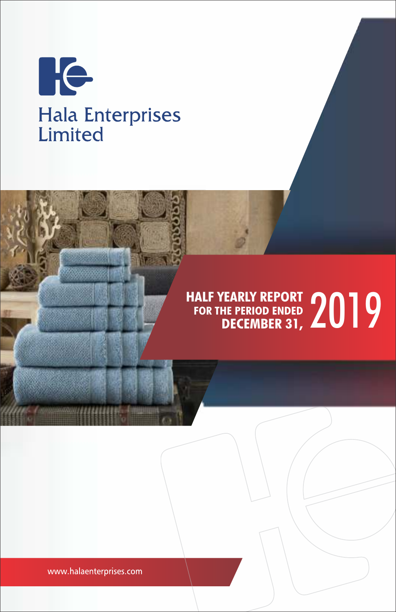

# HALF YEARLY REPORT **2019 FOR THE PERIOD ENDED DECEMBER 31,**

www.halaenterprises.com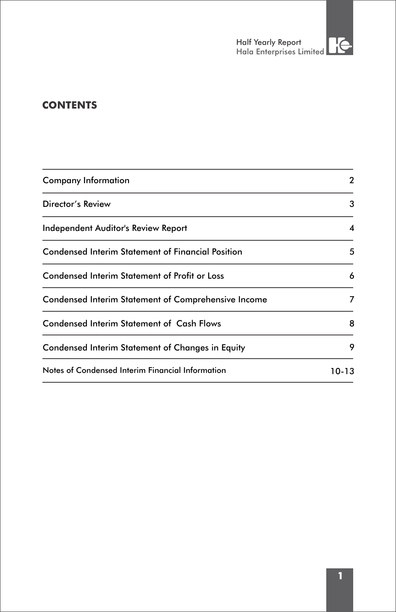# **CONTENTS**

| <b>Company Information</b>                               | 2     |
|----------------------------------------------------------|-------|
| Director's Review                                        | 3     |
| Independent Auditor's Review Report                      | 4     |
| <b>Condensed Interim Statement of Financial Position</b> | 5     |
| <b>Condensed Interim Statement of Profit or Loss</b>     | 6     |
| Condensed Interim Statement of Comprehensive Income      | 7     |
| Condensed Interim Statement of Cash Flows                | 8     |
| Condensed Interim Statement of Changes in Equity         | 9     |
| Notes of Condensed Interim Financial Information         | 10-13 |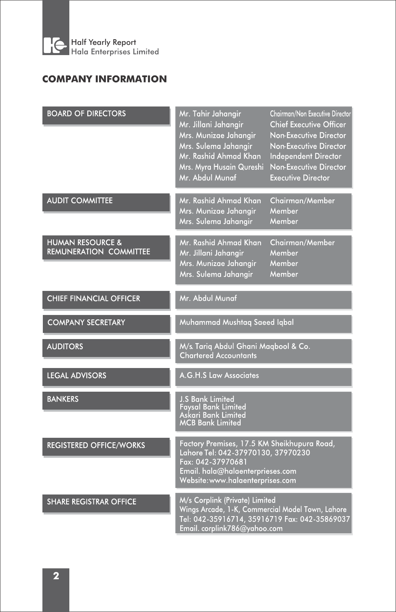

# **COMPANY INFORMATION**

| <b>BOARD OF DIRECTORS</b>                                    | Mr. Tahir Jahangir<br>Mr. Jillani Jahangir<br>Mrs. Munizae Jahangir<br>Mrs. Sulema Jahangir<br>Mr. Rashid Ahmad Khan<br>Mrs. Myra Husain Qureshi<br>Mr. Abdul Munaf            | Chairman/Non Executive Director<br><b>Chief Executive Officer</b><br>Non-Executive Director<br>Non-Executive Director<br>Independent Director<br>Non-Executive Director<br><b>Executive Director</b> |
|--------------------------------------------------------------|--------------------------------------------------------------------------------------------------------------------------------------------------------------------------------|------------------------------------------------------------------------------------------------------------------------------------------------------------------------------------------------------|
| <b>AUDIT COMMITTEE</b>                                       | Mr. Rashid Ahmad Khan<br>Mrs. Munizae Jahangir<br>Mrs. Sulema Jahangir                                                                                                         | Chairman/Member<br>Member<br>Member                                                                                                                                                                  |
| <b>HUMAN RESOURCE &amp;</b><br><b>REMUNERATION COMMITTEE</b> | Mr. Rashid Ahmad Khan<br>Mr. Jillani Jahangir<br>Mrs. Munizae Jahangir<br>Mrs. Sulema Jahangir                                                                                 | Chairman/Member<br>Member<br>Member<br>Member                                                                                                                                                        |
| <b>CHIEF FINANCIAL OFFICER</b>                               | Mr. Abdul Munaf                                                                                                                                                                |                                                                                                                                                                                                      |
| <b>COMPANY SECRETARY</b>                                     | Muhammad Mushtaq Saeed Iqbal                                                                                                                                                   |                                                                                                                                                                                                      |
| <b>AUDITORS</b>                                              | M/s. Tariq Abdul Ghani Maqbool & Co.<br><b>Chartered Accountants</b>                                                                                                           |                                                                                                                                                                                                      |
| <b>LEGAL ADVISORS</b>                                        | A.G.H.S Law Associates                                                                                                                                                         |                                                                                                                                                                                                      |
| <b>BANKERS</b>                                               | <b>J.S Bank Limited</b><br><b>Faysal Bank Limited</b><br>Askari Bank Limited<br><b>MCB Bank Limited</b>                                                                        |                                                                                                                                                                                                      |
| <b>REGISTERED OFFICE/WORKS</b>                               | Factory Premises, 17.5 KM Sheikhupura Road,<br>Lahore Tel: 042-37970130, 37970230<br>Fax: 042-37970681<br>Email. hala@halaenterprieses.com<br>Website: www.halaenterprises.com |                                                                                                                                                                                                      |
| <b>SHARE REGISTRAR OFFICE</b>                                | M/s Corplink (Private) Limited<br>Wings Arcade, 1-K, Commercial Model Town, Lahore<br>Tel: 042-35916714, 35916719 Fax: 042-35869037<br>Email. corplink786@yahoo.com            |                                                                                                                                                                                                      |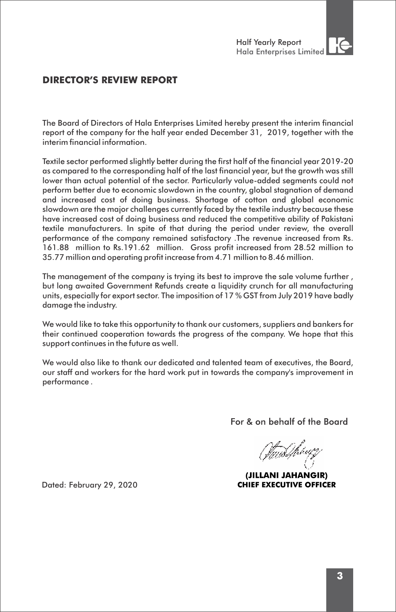# **DIRECTOR'S REVIEW REPORT**

The Board of Directors of Hala Enterprises Limited hereby present the interim financial report of the company for the half year ended December 31, 2019, together with the interim financial information.

Textile sector performed slightly better during the first half of the financial year 2019-20 as compared to the corresponding half of the last financial year, but the growth was still lower than actual potential of the sector. Particularly value-added segments could not perform better due to economic slowdown in the country, global stagnation of demand and increased cost of doing business. Shortage of cotton and global economic slowdown are the major challenges currently faced by the textile industry because these have increased cost of doing business and reduced the competitive ability of Pakistani textile manufacturers. In spite of that during the period under review, the overall performance of the company remained satisfactory .The revenue increased from Rs. 161.88 million to Rs.191.62 million. Gross profit increased from 28.52 million to 35.77 million and operating profit increase from 4.71 million to 8.46 million.

The management of the company is trying its best to improve the sale volume further , but long awaited Government Refunds create a liquidity crunch for all manufacturing units, especially for export sector. The imposition of 17 % GST from July 2019 have badly damage the industry.

We would like to take this opportunity to thank our customers, suppliers and bankers for their continued cooperation towards the progress of the company. We hope that this support continues in the future as well.

We would also like to thank our dedicated and talented team of executives, the Board, our staff and workers for the hard work put in towards the company's improvement in performance .

For & on behalf of the Board

<u>(Twistp</u>hyz

(JILLANI JAHANGIR) **CHIEF EXECUTIVE OFFICER** 

Dated: February 29, 2020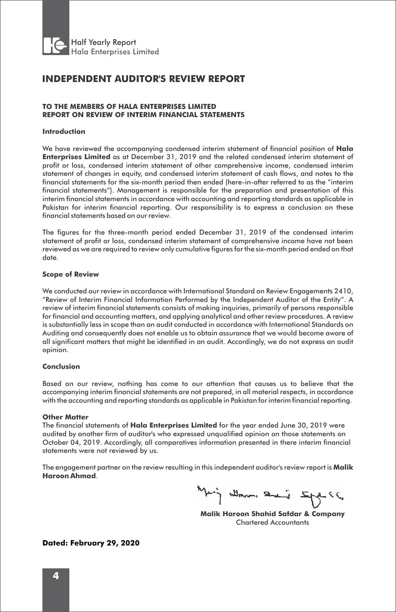

# **INDEPENDENT AUDITOR'S REVIEW REPORT**

# **TO THE MEMBERS OF HALA ENTERPRISES LIMITED REPORT ON REVIEW OF INTERIM FINANCIAL STATEMENTS**

## **Introduction**

We have reviewed the accompanying condensed interim statement of financial position of **Hala Enterprises Limited** as at December 31, 2019 and the related condensed interim statement of profit or loss, condensed interim statement of other comprehensive income, condensed interim statement of changes in equity, and condensed interim statement of cash flows, and notes to the financial statements for the six-month period then ended (here-in-after referred to as the "interim financial statements"). Management is responsible for the preparation and presentation of this interim financial statements in accordance with accounting and reporting standards as applicable in Pakistan for interim financial reporting. Our responsibility is to express a conclusion on these financial statements based on our review.

The figures for the three-month period ended December 31, 2019 of the condensed interim statement of profit or loss, condensed interim statement of comprehensive income have not been reviewed as we are required to review only cumulative figures for the six-month period ended on that date.

## **Scope of Review**

We conducted our review in accordance with International Standard on Review Engagements 2410, "Review of Interim Financial Information Performed by the Independent Auditor of the Entity". A review of interim financial statements consists of making inquiries, primarily of persons responsible for financial and accounting matters, and applying analytical and other review procedures. A review is substantially less in scope than an audit conducted in accordance with International Standards on Auditing and consequently does not enable us to obtain assurance that we would become aware of all significant matters that might be identified in an audit. Accordingly, we do not express an audit opinion.

## **Conclusion**

Based on our review, nothing has come to our attention that causes us to believe that the accompanying interim financial statements are not prepared, in all material respects, in accordance with the accounting and reporting standards as applicable in Pakistan for interim financial reporting.

#### **Other Matter**

The financial statements of **Hala Enterprises Limited** for the year ended June 30, 2019 were audited by another firm of auditor's who expressed unqualified opinion on those statements on October 04, 2019. Accordingly, all comparatives information presented in there interim financial statements were not reviewed by us.

The engagement partner on the review resulting in this independent auditor's review report is **Malik Haroon Ahmad**.

Mary deran semai support

**Malik Haroon Shahid Safdar & Company** Chartered Accountants

**Dated: February 29, 2020**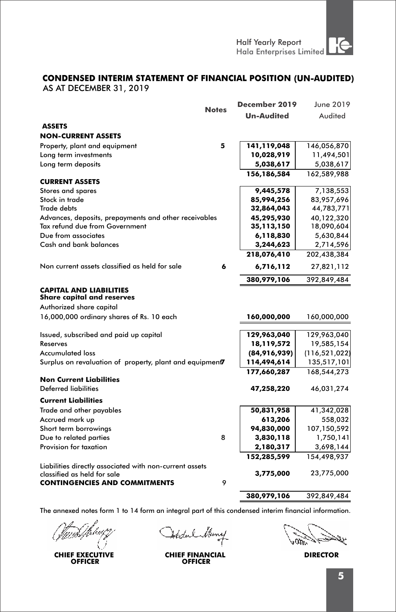Half Yearly Report

# **CONDENSED INTERIM STATEMENT OF FINANCIAL POSITION (UN-AUDITED)**

AS AT DECEMBER 31, 2019

|                                                                                         | <b>Notes</b> | December 2019               | June 2019                      |
|-----------------------------------------------------------------------------------------|--------------|-----------------------------|--------------------------------|
|                                                                                         |              | <b>Un-Audited</b>           | Audited                        |
| <b>ASSETS</b>                                                                           |              |                             |                                |
| <b>NON-CURRENT ASSETS</b>                                                               |              |                             |                                |
| Property, plant and equipment                                                           | 5            | 141,119,048                 | 146,056,870                    |
| Long term investments                                                                   |              | 10,028,919                  | 11,494,501                     |
| Long term deposits                                                                      |              | 5,038,617                   | 5,038,617                      |
|                                                                                         |              | 156,186,584                 | 162,589,988                    |
| <b>CURRENT ASSETS</b>                                                                   |              |                             |                                |
| Stores and spares                                                                       |              | 9,445,578                   | 7,138,553                      |
| Stock in trade<br><b>Trade debts</b>                                                    |              | 85,994,256                  | 83,957,696                     |
|                                                                                         |              | 32,864,043                  | 44,783,771                     |
| Advances, deposits, prepayments and other receivables<br>Tax refund due from Government |              | 45,295,930                  | 40,122,320                     |
| Due from associates                                                                     |              | 35,113,150                  | 18,090,604                     |
| Cash and bank balances                                                                  |              | 6,118,830                   | 5,630,844                      |
|                                                                                         |              | 3,244,623<br>218,076,410    | 2,714,596<br>202,438,384       |
|                                                                                         |              |                             |                                |
| Non current assets classified as held for sale                                          | 6            | 6,716,112                   | 27,821,112                     |
|                                                                                         |              | 380,979,106                 | 392,849,484                    |
| <b>CAPITAL AND LIABILITIES</b><br><b>Share capital and reserves</b>                     |              |                             |                                |
| Authorized share capital                                                                |              |                             |                                |
| 16,000,000 ordinary shares of Rs. 10 each                                               |              | 160,000,000                 | 160,000,000                    |
|                                                                                         |              |                             |                                |
| Issued, subscribed and paid up capital                                                  |              | 129,963,040                 | 129,963,040                    |
| Reserves<br><b>Accumulated loss</b>                                                     |              | 18,119,572                  | 19,585,154                     |
| Surplus on revaluation of property, plant and equipment7                                |              | (84,916,939)<br>114,494,614 | (116, 521, 022)<br>135,517,101 |
|                                                                                         |              | 177,660,287                 | 168,544,273                    |
| <b>Non Current Liabilities</b>                                                          |              |                             |                                |
| <b>Deferred liabilities</b>                                                             |              | 47,258,220                  | 46,031,274                     |
| <b>Current Liabilities</b>                                                              |              |                             |                                |
| Trade and other payables                                                                |              | 50,831,958                  | 41,342,028                     |
| Accrued mark up                                                                         |              | 613,206                     | 558,032                        |
| Short term borrowings                                                                   |              | 94,830,000                  | 107,150,592                    |
| Due to related parties                                                                  | 8            | 3,830,118                   | 1,750,141                      |
| Provision for taxation                                                                  |              | 2,180,317                   | 3,698,144                      |
|                                                                                         |              | 152,285,599                 | 154,498,937                    |
| Liabilities directly associated with non-current assets                                 |              |                             |                                |
| classified as held for sale                                                             |              | 3,775,000                   | 23,775,000                     |
| <b>CONTINGENCIES AND COMMITMENTS</b>                                                    | 9            |                             |                                |
|                                                                                         |              | 380,979,106                 | 392,849,484                    |
|                                                                                         |              |                             |                                |

**CHIEF EXECUTIVE OFFICER**

Atedal flans

منكياء

**CHIEF FINANCIAL DIRECTOR OFFICER**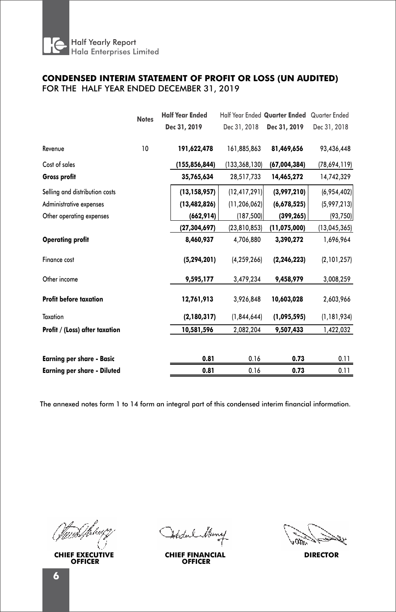

# FOR THE HALF YEAR ENDED DECEMBER 31, 2019 **CONDENSED INTERIM STATEMENT OF PROFIT OR LOSS (UN AUDITED)**

|                                    | <b>Notes</b> | <b>Half Year Ended</b> |                | Half Year Ended Quarter Ended | Quarter Ended |
|------------------------------------|--------------|------------------------|----------------|-------------------------------|---------------|
|                                    |              | Dec 31, 2019           | Dec 31, 2018   | Dec 31, 2019                  | Dec 31, 2018  |
| Revenue                            | 10           | 191,622,478            | 161,885,863    | 81,469,656                    | 93,436,448    |
| Cost of sales                      |              | (155,856,844)          | (133,368,130)  | (67,004,384)                  | (78,694,119)  |
| Gross profit                       |              | 35,765,634             | 28,517,733     | 14,465,272                    | 14,742,329    |
| Selling and distribution costs     |              | (13, 158, 957)         | (12, 417, 291) | (3,997,210)                   | (6,954,402)   |
| Administrative expenses            |              | (13, 482, 826)         | (11, 206, 062) | (6,678,525)                   | (5,997,213)   |
| Other operating expenses           |              | (662, 914)             | (187, 500)     | (399, 265)                    | (93, 750)     |
|                                    |              | (27,304,697)           | (23, 810, 853) | (11,075,000)                  | (13,045,365)  |
| <b>Operating profit</b>            |              | 8,460,937              | 4,706,880      | 3,390,272                     | 1,696,964     |
| Finance cost                       |              | (5, 294, 201)          | (4, 259, 266)  | (2, 246, 223)                 | (2,101,257)   |
| Other income                       |              | 9,595,177              | 3,479,234      | 9,458,979                     | 3,008,259     |
| <b>Profit before taxation</b>      |              | 12,761,913             | 3,926,848      | 10,603,028                    | 2,603,966     |
| Taxation                           |              | (2, 180, 317)          | (1,844,644)    | (1,095,595)                   | (1, 181, 934) |
| Profit / (Loss) after taxation     |              | 10,581,596             | 2,082,204      | 9,507,433                     | 1,422,032     |
| <b>Earning per share - Basic</b>   |              | 0.81                   | 0.16           | 0.73                          | 0.11          |
| <b>Earning per share - Diluted</b> |              | 0.81                   | 0.16           | 0.73                          | 0.11          |
|                                    |              |                        |                |                               |               |

**CHIEF EXECUTIVE OFFICER**

Atedak

**CHIEF FINANCIAL DIRECTOR OFFICER**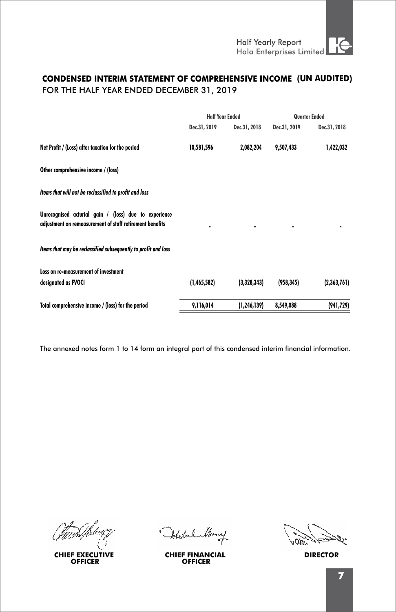# FOR THE HALF YEAR ENDED DECEMBER 31, 2019 **CONDENSED INTERIM STATEMENT OF COMPREHENSIVE INCOME (UN AUDITED)**

|                                                                                                                   | <b>Half Year Ended</b> |               | Quarter Ended |              |
|-------------------------------------------------------------------------------------------------------------------|------------------------|---------------|---------------|--------------|
|                                                                                                                   | Dec.31, 2019           | Dec.31, 2018  | Dec.31, 2019  | Dec.31, 2018 |
| Net Profit / (Loss) after taxation for the period                                                                 | 10,581,596             | 2,082,204     | 9,507,433     | 1,422,032    |
| Other comprehensive income / (loss)                                                                               |                        |               |               |              |
| Items that will not be reclassified to profit and loss                                                            |                        |               |               |              |
| Unrecognised acturial gain / (loss) due to experience<br>adjustment on remeasurement of staff retirement benefits |                        |               |               |              |
| Items that may be reclassified subsequently to profit and loss                                                    |                        |               |               |              |
| Loss on re-measurement of investment                                                                              |                        |               |               |              |
| designated as FVOCI                                                                                               | (1,465,582)            | (3,328,343)   | (958, 345)    | (2,363,761)  |
| Total comprehensive income / (loss) for the period                                                                | 9,116,014              | (1, 246, 139) | 8,549,088     | (941, 729)   |

**CHIEF EXECUTIVE OFFICER**

Atedal

**CHIEF FINANCIAL DIRECTOR OFFICER**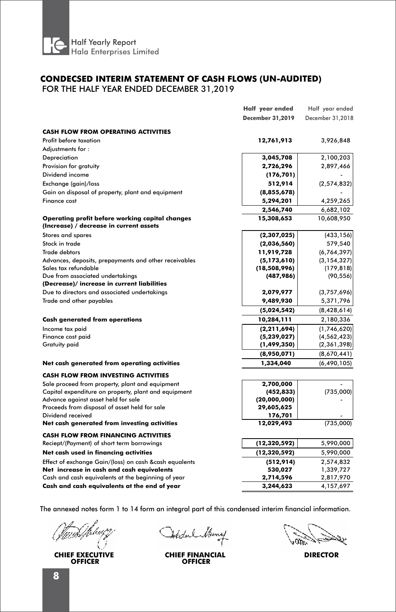

# FOR THE HALF YEAR ENDED DECEMBER 31,2019 **CONDECSED INTERIM STATEMENT OF CASH FLOWS (UN-AUDITED)**

|                                                                                            | Half year ended         | Half year ended  |
|--------------------------------------------------------------------------------------------|-------------------------|------------------|
|                                                                                            | <b>December 31,2019</b> | December 31,2018 |
| <b>CASH FLOW FROM OPERATING ACTIVITIES</b>                                                 |                         |                  |
| Profit before taxation                                                                     | 12,761,913              | 3,926,848        |
| Adjustments for:                                                                           |                         |                  |
| Depreciation                                                                               | 3,045,708               | 2,100,203        |
| Provision for gratuity                                                                     | 2,726,296               | 2,897,466        |
| Dividend income                                                                            | (176, 701)              |                  |
| Exchange (gain)/loss                                                                       | 512,914                 | (2, 574, 832)    |
| Gain on disposal of property, plant and equipment                                          | (8,855,678)             |                  |
| Finance cost                                                                               | 5,294,201               | 4,259,265        |
|                                                                                            | 2,546,740               | 6,682,102        |
| Operating profit before working capital changes<br>(Increase) / decrease in current assets | 15,308,653              | 10,608,950       |
| Stores and spares                                                                          | (2,307,025)             | (433, 156)       |
| Stock in trade                                                                             | (2,036,560)             | 579,540          |
| <b>Trade debtors</b>                                                                       | 11,919,728              | (6, 764, 397)    |
| Advances, deposits, prepayments and other receivables                                      | (5, 173, 610)           | (3, 154, 327)    |
| Sales tax refundable                                                                       | (18,508,996)            | (179, 818)       |
| Due from associated undertakings                                                           | (487,986)               | (90, 556)        |
| (Decrease)/ increase in current liabilities                                                |                         |                  |
| Due to directors and associated undertakings                                               | 2,079,977               | (3,757,696)      |
| Trade and other payables                                                                   | 9,489,930               | 5,371,796        |
|                                                                                            | (5,024,542)             | (8,428,614)      |
| <b>Cash generated from operations</b>                                                      | 10,284,111              | 2,180,336        |
| Income tax paid                                                                            | (2, 211, 694)           | (1,746,620)      |
| Finance cost paid                                                                          | (5,239,027)             | (4, 562, 423)    |
| <b>Gratuity paid</b>                                                                       | (1,499,350)             | (2,361,398)      |
|                                                                                            | (8,950,071)             | (8,670,441)      |
| Net cash generated from operating activities                                               | 1,334,040               | (6, 490, 105)    |
| <b>CASH FLOW FROM INVESTING ACTIVITIES</b>                                                 |                         |                  |
| Sale proceed from property, plant and equipment                                            | 2,700,000               |                  |
| Capital expenditure on property, plant and equipment                                       | (452, 833)              | (735,000)        |
| Advance against asset held for sale                                                        | (20,000,000)            |                  |
| Proceeds from disposal of asset held for sale                                              | 29,605,625              |                  |
| Dividend received                                                                          | 176,701                 |                  |
| Net cash generated from investing activities                                               | 12,029,493              | (735,000)        |
| <b>CASH FLOW FROM FINANCING ACTIVITIES</b>                                                 |                         |                  |
| Reciept/(Payment) of short term borrowings                                                 | (12, 320, 592)          | 5,990,000        |
| Net cash used in financing activities                                                      | (12, 320, 592)          | 5,990,000        |
| Effect of exchange Gain/(loss) on cash &cash equalents                                     | (512, 914)              | 2,574,832        |
| Net increase in cash and cash equivalents                                                  | 530,027                 | 1,339,727        |
| Cash and cash equivalents at the beginning of year                                         | 2,714,596               | 2,817,970        |
| Cash and cash equivalents at the end of year                                               | 3,244,623               | 4,157,697        |

**CHIEF EXECUTIVE OFFICER**

Atechnik

**CHIEF FINANCIAL DIRECTOR OFFICER**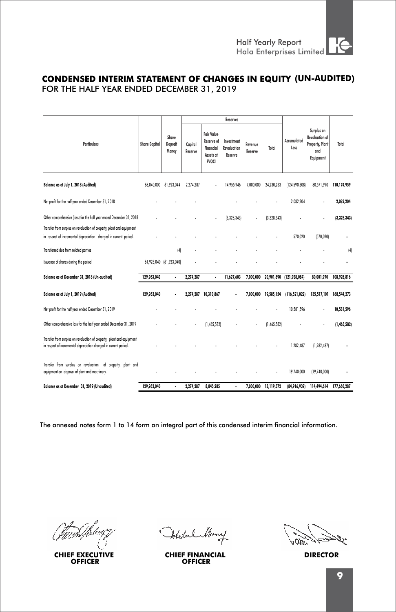# FOR THE HALF YEAR ENDED DECEMBER 31, 2019 **CONDENSED INTERIM STATEMENT OF CHANGES IN EQUITY (UN-AUDITED)**

|                                                                                                                                            |                      |                           |                    |                                                                           | <b>Reserves</b>                      |                    |             |                          |                                                                            |             |
|--------------------------------------------------------------------------------------------------------------------------------------------|----------------------|---------------------------|--------------------|---------------------------------------------------------------------------|--------------------------------------|--------------------|-------------|--------------------------|----------------------------------------------------------------------------|-------------|
| <b>Particulars</b>                                                                                                                         | <b>Share Capital</b> | Share<br>Deposit<br>Money | Capital<br>Reserve | <b>Fair Value</b><br>Reserve of<br>Financial<br>Assets at<br><b>FVOCI</b> | Investment<br>Revaluation<br>Reserve | Revenue<br>Reserve | Total       | Accumulated<br>Loss      | Surplus on<br><b>Revaluation of</b><br>Property, Plant<br>and<br>Equipment | Total       |
| Balance as at July 1, 2018 (Audited)                                                                                                       | 68.040.000           | 61.923.044                | 2.274.287          |                                                                           | 14.955.946                           | 7.000.000          | 24.230.233  | (124.590.308)            | 80.571.990                                                                 | 110.174.959 |
| Net profit for the half year ended December 31, 2018                                                                                       |                      |                           |                    |                                                                           |                                      |                    |             | 2.082.204                |                                                                            | 2.082.204   |
| Other comprehensive (loss) for the half year ended December 31, 2018                                                                       |                      |                           |                    |                                                                           | (3,328,343)                          |                    | (3,328,343) |                          |                                                                            | (3,328,343) |
| Transfer from surplus on revaluation of property, plant and equipment                                                                      |                      |                           |                    |                                                                           |                                      |                    |             |                          |                                                                            |             |
| in respect of incremental depreciation charged in current period.                                                                          |                      |                           |                    |                                                                           |                                      |                    |             | 570.020                  | (570, 020)                                                                 |             |
| Transferred due from related parties                                                                                                       |                      | [4]                       |                    |                                                                           |                                      |                    |             |                          |                                                                            | [4]         |
| Issuance of shares during the period                                                                                                       |                      | 61,923,040 (61,923,040)   |                    |                                                                           |                                      |                    |             |                          |                                                                            |             |
| Balance as at December 31, 2018 (Un-audited)                                                                                               | 129,963,040          | $\ddot{\phantom{0}}$      | 2,274,287          | ٠                                                                         | 11.627.603                           | 7.000.000          |             | 20,901,890 (121,938,084) | 80,001,970                                                                 | 108,928,816 |
| Balance as at July 1, 2019 (Audited)                                                                                                       | 129.963.040          |                           |                    | 2.274.287 10.310.867                                                      |                                      | 7.000.000          | 19,585,154  | (116, 521, 022)          | 135,517,101                                                                | 168,544,273 |
| Net profit for the half year ended December 31, 2019                                                                                       |                      |                           |                    |                                                                           |                                      |                    |             | 10,581,596               |                                                                            | 10,581,596  |
| Other comprehensive loss for the half year ended December 31, 2019                                                                         |                      |                           |                    | (1,465,582)                                                               |                                      |                    | (1.465.582) |                          |                                                                            | (1,465,582) |
| Transfer from surplus on revaluation of property, plant and equipment<br>in respect of incremental depreciation charged in current period. |                      |                           |                    |                                                                           |                                      |                    |             | 1,282.487                | (1.282.487)                                                                |             |
| Transfer from surplus on revaluation of property, plant and<br>equipment on disposal of plant and machinery.                               |                      |                           |                    |                                                                           |                                      |                    |             | 19,740,000               | (19,740,000)                                                               |             |
| Balance as at December 31, 2019 (Unaudited)                                                                                                | 129.963.040          |                           | 2.274.287          | 8.845.285                                                                 | ٠                                    | 7.000.000          | 18.119.572  | (84,916,939)             | 114,494.614                                                                | 177.660.287 |

**CHIEF EXECUTIVE OFFICER**

Istoclark

**CHIEF FINANCIAL DIRECTOR OFFICER**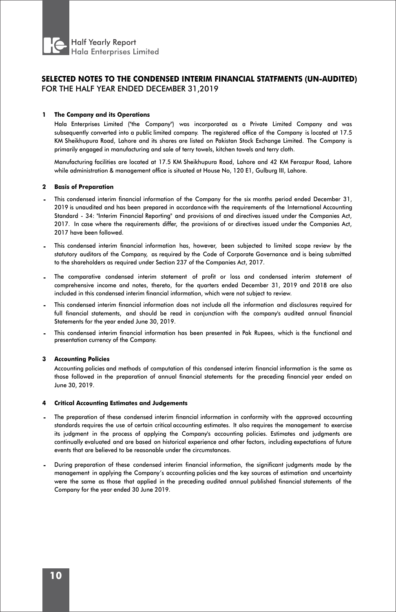

#### **1 The Company and its Operations**

Hala Enterprises Limited ("the Company") was incorporated as a Private Limited Company and was subsequently converted into a public limited company. The registered office of the Company is located at 17.5 KM Sheikhupura Road, Lahore and its shares are listed on Pakistan Stock Exchange Limited. The Company is primarily engaged in manufacturing and sale of terry towels, kitchen towels and terry cloth.

Manufacturing facilities are located at 17.5 KM Sheikhupura Road, Lahore and 42 KM Ferozpur Road, Lahore while administration & management office is situated at House No, 120 E1, Gulburg III, Lahore.

#### **2 Basis of Preparation**

- **-** This condensed interim financial information of the Company for the six months period ended December 31, 2019 is unaudited and has been prepared in accordance with the requirements of the International Accounting Standard - 34: "Interim Financial Reporting" and provisions of and directives issued under the Companies Act, 2017. In case where the requirements differ, the provisions of or directives issued under the Companies Act, 2017 have been followed.
- **-** This condensed interim financial information has, however, been subjected to limited scope review by the statutory auditors of the Company, as required by the Code of Corporate Governance and is being submitted to the shareholders as required under Section 237 of the Companies Act, 2017.
- **-** The comparative condensed interim statement of profit or loss and condensed interim statement of comprehensive income and notes, thereto, for the quarters ended December 31, 2019 and 2018 are also included in this condensed interim financial information, which were not subject to review.
- **-** This condensed interim financial information does not include all the information and disclosures required for full financial statements, and should be read in conjunction with the company's audited annual financial Statements for the year ended June 30, 2019.
- **-** This condensed interim financial information has been presented in Pak Rupees, which is the functional and presentation currency of the Company.

#### **3 Accounting Policies**

Accounting policies and methods of computation of this condensed interim financial information is the same as those followed in the preparation of annual financial statements for the preceding financial year ended on June 30, 2019.

#### **4 Critical Accounting Estimates and Judgements**

- **-** The preparation of these condensed interim financial information in conformity with the approved accounting standards requires the use of certain critical accounting estimates. It also requires the management to exercise its judgment in the process of applying the Company's accounting policies. Estimates and judgments are continually evaluated and are based on historical experience and other factors, including expectations of future events that are believed to be reasonable under the circumstances.
- **-** During preparation of these condensed interim financial information, the significant judgments made by the management in applying the Company's accounting policies and the key sources of estimation and uncertainty were the same as those that applied in the preceding audited annual published financial statements of the Company for the year ended 30 June 2019.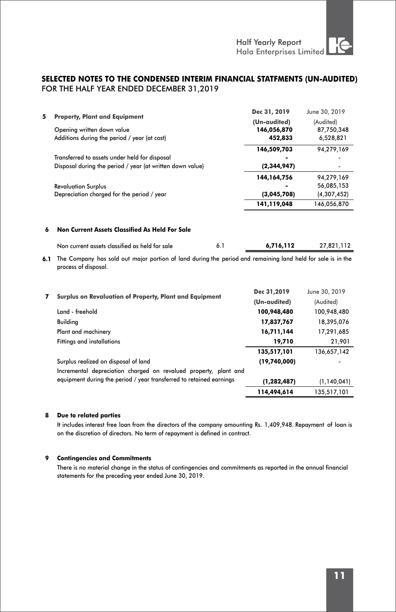| 5   | <b>Property, Plant and Equipment</b>                                                                                                | Dec 31, 2019  | June 30, 2019 |
|-----|-------------------------------------------------------------------------------------------------------------------------------------|---------------|---------------|
|     |                                                                                                                                     | (Un-audited)  | (Audited)     |
|     | Opening written down value                                                                                                          | 146,056,870   | 87,750,348    |
|     | Additions during the period / year (at cost)                                                                                        | 452,833       | 6,528,821     |
|     |                                                                                                                                     | 146,509,703   | 94,279,169    |
|     | Transferred to assets under held for disposal                                                                                       |               |               |
|     | Disposal during the period / year (at written down value)                                                                           | (2,344,947)   |               |
|     |                                                                                                                                     | 144,164,756   | 94,279,169    |
|     | <b>Revaluation Surplus</b>                                                                                                          |               | 56,085,153    |
|     | Depreciation charged for the period / year                                                                                          | (3,045,708)   | (4,307,452)   |
|     |                                                                                                                                     | 141,119,048   | 146,056,870   |
| 6   | Non Current Assets Classified As Held For Sale                                                                                      |               |               |
|     | 6.1<br>Non current assets classified as held for sale                                                                               | 6,716,112     | 27,821,112    |
| 6.1 | The Company has sold out major portion of land during the period and remaining land held for sale is in the<br>process of disposal. |               |               |
| 7   | Surplus on Revaluation of Property, Plant and Equipment                                                                             | Dec 31,2019   | June 30, 2019 |
|     |                                                                                                                                     | (Un-audited)  | (Audited)     |
|     | Land - freehold                                                                                                                     | 100,948,480   | 100,948,480   |
|     | <b>Building</b>                                                                                                                     | 17,837,767    | 18,395,076    |
|     | Plant and machinery                                                                                                                 | 16,711,144    | 17,291,685    |
|     | <b>Fittings and installations</b>                                                                                                   | 19,710        | 21,901        |
|     |                                                                                                                                     | 135,517,101   | 136,657,142   |
|     | Surplus realized on disposal of land                                                                                                | (19,740,000)  |               |
|     | Incremental depreciation charged on revalued property, plant and                                                                    |               |               |
|     | equipment during the period / year transferred to retained earnings                                                                 | (1, 282, 487) | (1, 140, 041) |
|     |                                                                                                                                     | 114,494,614   | 135,517,101   |
|     |                                                                                                                                     |               |               |

## **8 Due to related parties**

It includes interest free loan from the directors of the company amounting Rs. 1,409,948. Repayment of loan is on the discretion of directors. No term of repayment is defined in contract.

#### **9 Contingencies and Commitments**

There is no material change in the status of contingencies and commitments as reported in the annual financial statements for the preceding year ended June 30, 2019.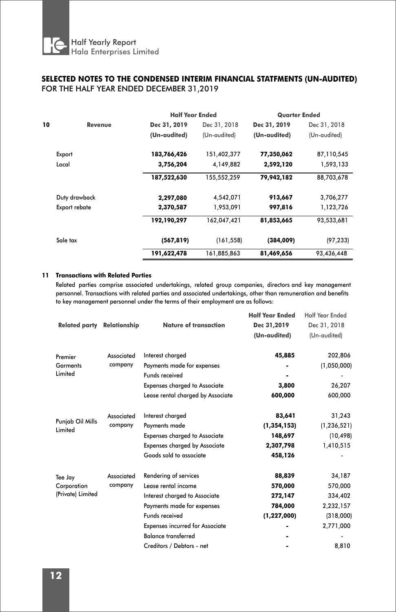|    |               | <b>Half Year Ended</b> |              | <b>Quarter Ended</b> |              |  |
|----|---------------|------------------------|--------------|----------------------|--------------|--|
| 10 | Revenue       | Dec 31, 2019           | Dec 31, 2018 | Dec 31, 2019         | Dec 31, 2018 |  |
|    |               | (Un-audited)           | (Un-audited) | (Un-audited)         | (Un-audited) |  |
|    | Export        | 183,766,426            | 151,402,377  | 77,350,062           | 87,110,545   |  |
|    | Local         | 3,756,204              | 4,149,882    | 2,592,120            | 1,593,133    |  |
|    |               | 187,522,630            | 155,552,259  | 79,942,182           | 88,703,678   |  |
|    | Duty drawback | 2,297,080              | 4,542,071    | 913,667              | 3,706,277    |  |
|    | Export rebate | 2,370,587              | 1,953,091    | 997,816              | 1,123,726    |  |
|    |               | 192,190,297            | 162,047,421  | 81,853,665           | 93,533,681   |  |
|    | Sale tax      | (567, 819)             | (161, 558)   | (384,009)            | (97, 233)    |  |
|    |               | 191,622,478            | 161,885,863  | 81,469,656           | 93,436,448   |  |

## **11 Transactions with Related Parties**

Related parties comprise associated undertakings, related group companies, directors and key management personnel. Transactions with related parties and associated undertakings, other than remuneration and benefits to key management personnel under the terms of their employment are as follows:

| <b>Related party</b> | Relationship | <b>Nature of transaction</b>           | <b>Half Year Ended</b><br>Dec 31,2019<br>(Un-audited) | <b>Half Year Ended</b><br>Dec 31, 2018<br>(Un-audited) |
|----------------------|--------------|----------------------------------------|-------------------------------------------------------|--------------------------------------------------------|
| Premier              | Associated   | Interest charged                       | 45,885                                                | 202,806                                                |
| Garments             | company      | Payments made for expenses             |                                                       | (1,050,000)                                            |
| Limited              |              | <b>Funds received</b>                  |                                                       |                                                        |
|                      |              | <b>Expenses charged to Associate</b>   | 3,800                                                 | 26,207                                                 |
|                      |              | Lease rental charged by Associate      | 600,000                                               | 600,000                                                |
|                      | Associated   | Interest charged                       | 83,641                                                | 31,243                                                 |
| Punjab Oil Mills     | company      | Payments made                          | (1, 354, 153)                                         | (1, 236, 521)                                          |
| Limited              |              | <b>Expenses charged to Associate</b>   | 148,697                                               | (10, 498)                                              |
|                      |              | <b>Expenses charged by Associate</b>   | 2,307,798                                             | 1,410,515                                              |
|                      |              | Goods sold to associate                | 458,126                                               |                                                        |
| Tee Jay              | Associated   | Rendering of services                  | 88,839                                                | 34,187                                                 |
| Corporation          | company      | Lease rental income                    | 570,000                                               | 570,000                                                |
| (Private) Limited    |              | Interest charged to Associate          | 272,147                                               | 334,402                                                |
|                      |              | Payments made for expenses             | 784,000                                               | 2,232,157                                              |
|                      |              | <b>Funds received</b>                  | (1, 227, 000)                                         | (318,000)                                              |
|                      |              | <b>Expenses incurred for Associate</b> |                                                       | 2,771,000                                              |
|                      |              | <b>Balance transferred</b>             |                                                       |                                                        |
|                      |              | Creditors / Debtors - net              |                                                       | 8,810                                                  |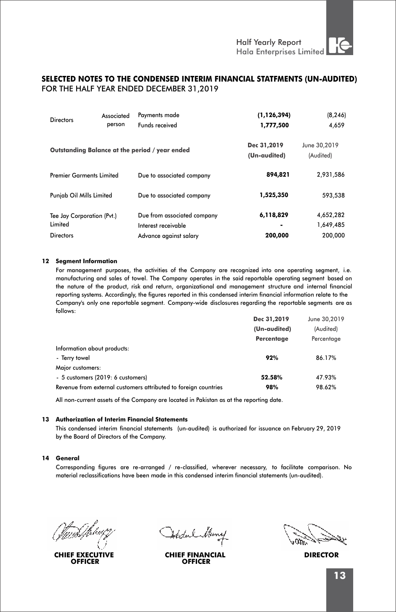| <b>Directors</b>                      | Associated<br>person | Payments made<br>Funds received                    | (1, 126, 394)<br>1,777,500  | (8, 246)<br>4,659         |
|---------------------------------------|----------------------|----------------------------------------------------|-----------------------------|---------------------------|
|                                       |                      | Outstanding Balance at the period / year ended     | Dec 31,2019<br>(Un-audited) | June 30,2019<br>(Audited) |
| <b>Premier Garments Limited</b>       |                      | Due to associated company                          | 894,821                     | 2,931,586                 |
| Punjab Oil Mills Limited              |                      | Due to associated company                          | 1,525,350                   | 593,538                   |
| Tee Jay Corporation (Pvt.)<br>Limited |                      | Due from associated company<br>Interest receivable | 6,118,829<br>۰              | 4,652,282<br>1,649,485    |
| <b>Directors</b>                      |                      | Advance against salary                             | 200,000                     | 200.000                   |

#### **12 Segment Information**

For management purposes, the activities of the Company are recognized into one operating segment, i.e. manufacturing and sales of towel. The Company operates in the said reportable operating segment based on the nature of the product, risk and return, organizational and management structure and internal financial reporting systems. Accordingly, the figures reported in this condensed interim financial information relate to the Company's only one reportable segment. Company-wide disclosures regarding the reportable segments are as follows:

|              | June 30.2019 |  |
|--------------|--------------|--|
| (Un-audited) | (Audited)    |  |
| Percentage   | Percentage   |  |
|              |              |  |
| 92%          | 86.17%       |  |
|              |              |  |
| 52.58%       | 47.93%       |  |
| 98%          | 98.62%       |  |
|              | Dec 31,2019  |  |

All non-current assets of the Company are located in Pakistan as at the reporting date.

#### **13 Authorization of Interim Financial Statements**

This condensed interim financial statements (un-audited) is authorized for issuance on February 29, 2019 by the Board of Directors of the Company.

#### **14 General**

Corresponding figures are re-arranged / re-classified, wherever necessary, to facilitate comparison. No material reclassifications have been made in this condensed interim financial statements (un-audited).

**CHIEF EXECUTIVE OFFICER**

**CHIEF FINANCIAL DIRECTOR OFFICER**